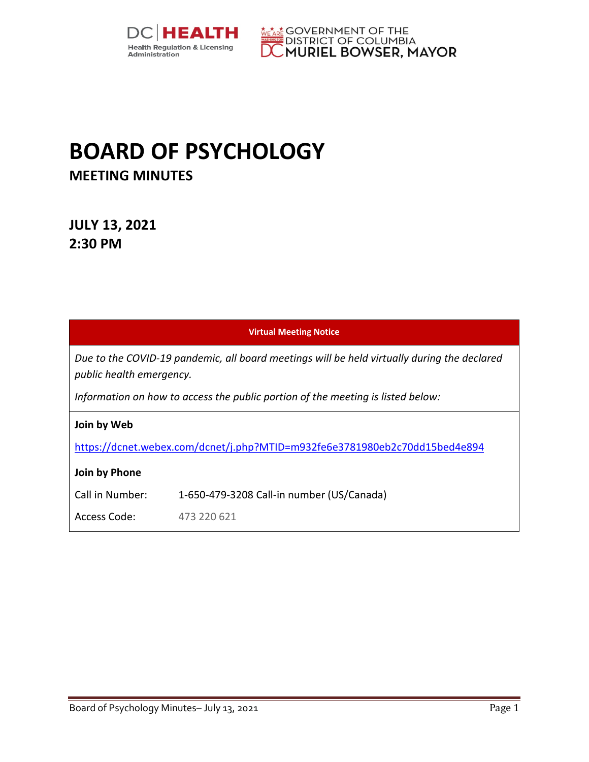



# **BOARD OF PSYCHOLOGY MEETING MINUTES**

**JULY 13, 2021 2:30 PM** 

|                                                                                                                         | <b>Virtual Meeting Notice</b>             |  |  |
|-------------------------------------------------------------------------------------------------------------------------|-------------------------------------------|--|--|
| Due to the COVID-19 pandemic, all board meetings will be held virtually during the declared<br>public health emergency. |                                           |  |  |
| Information on how to access the public portion of the meeting is listed below:                                         |                                           |  |  |
| Join by Web                                                                                                             |                                           |  |  |
| https://dcnet.webex.com/dcnet/j.php?MTID=m932fe6e3781980eb2c70dd15bed4e894                                              |                                           |  |  |
| Join by Phone                                                                                                           |                                           |  |  |
| Call in Number:                                                                                                         | 1-650-479-3208 Call-in number (US/Canada) |  |  |
| Access Code:                                                                                                            | 473 220 621                               |  |  |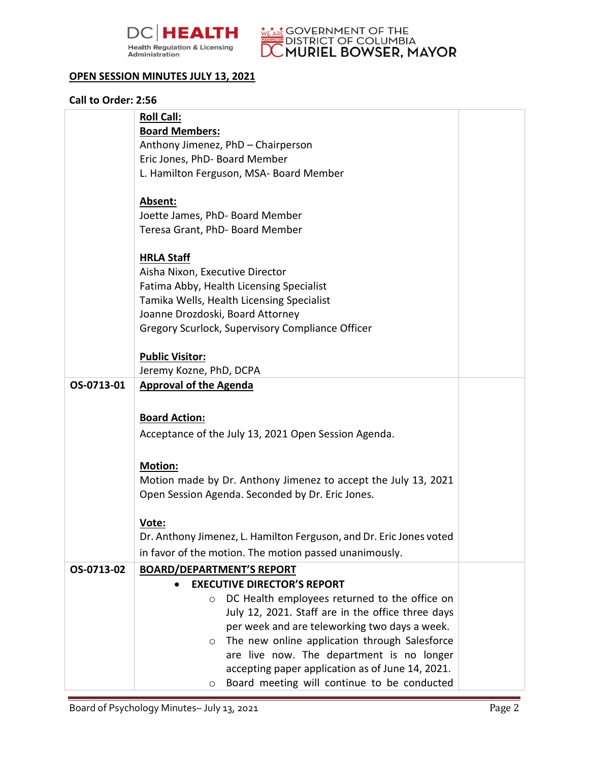



#### **OPEN SESSION MINUTES JULY 13, 2021**

#### **Call to Order: 2:56**

|            | <b>Roll Call:</b>                                                   |  |
|------------|---------------------------------------------------------------------|--|
|            | <b>Board Members:</b>                                               |  |
|            | Anthony Jimenez, PhD - Chairperson                                  |  |
|            | Eric Jones, PhD- Board Member                                       |  |
|            | L. Hamilton Ferguson, MSA- Board Member                             |  |
|            |                                                                     |  |
|            | Absent:                                                             |  |
|            | Joette James, PhD- Board Member                                     |  |
|            | Teresa Grant, PhD- Board Member                                     |  |
|            | <b>HRLA Staff</b>                                                   |  |
|            | Aisha Nixon, Executive Director                                     |  |
|            | Fatima Abby, Health Licensing Specialist                            |  |
|            | Tamika Wells, Health Licensing Specialist                           |  |
|            | Joanne Drozdoski, Board Attorney                                    |  |
|            | Gregory Scurlock, Supervisory Compliance Officer                    |  |
|            |                                                                     |  |
|            | <b>Public Visitor:</b>                                              |  |
|            | Jeremy Kozne, PhD, DCPA                                             |  |
| OS-0713-01 | <b>Approval of the Agenda</b>                                       |  |
|            |                                                                     |  |
|            | <b>Board Action:</b>                                                |  |
|            | Acceptance of the July 13, 2021 Open Session Agenda.                |  |
|            |                                                                     |  |
|            | <b>Motion:</b>                                                      |  |
|            | Motion made by Dr. Anthony Jimenez to accept the July 13, 2021      |  |
|            | Open Session Agenda. Seconded by Dr. Eric Jones.                    |  |
|            |                                                                     |  |
|            | Vote:                                                               |  |
|            | Dr. Anthony Jimenez, L. Hamilton Ferguson, and Dr. Eric Jones voted |  |
|            | in favor of the motion. The motion passed unanimously.              |  |
| OS-0713-02 | <b>BOARD/DEPARTMENT'S REPORT</b>                                    |  |
|            | <b>EXECUTIVE DIRECTOR'S REPORT</b>                                  |  |
|            | DC Health employees returned to the office on<br>$\circ$            |  |
|            | July 12, 2021. Staff are in the office three days                   |  |
|            | per week and are teleworking two days a week.                       |  |
|            | The new online application through Salesforce<br>$\circ$            |  |
|            | are live now. The department is no longer                           |  |
|            | accepting paper application as of June 14, 2021.                    |  |
|            | Board meeting will continue to be conducted<br>$\circ$              |  |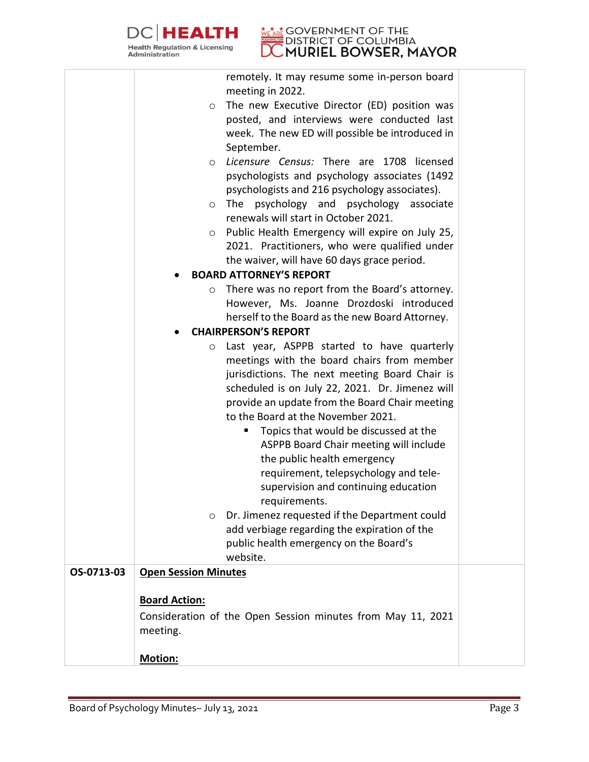

# **DISTRICT OF BOOK POINT PSYCHOLOGY**

|            | remotely. It may resume some in-person board<br>meeting in 2022.              |  |
|------------|-------------------------------------------------------------------------------|--|
|            | The new Executive Director (ED) position was<br>$\circ$                       |  |
|            | posted, and interviews were conducted last                                    |  |
|            | week. The new ED will possible be introduced in                               |  |
|            | September.                                                                    |  |
|            | Licensure Census: There are 1708 licensed<br>$\circ$                          |  |
|            | psychologists and psychology associates (1492                                 |  |
|            | psychologists and 216 psychology associates).                                 |  |
|            | The psychology and psychology associate                                       |  |
|            | $\circ$<br>renewals will start in October 2021.                               |  |
|            | Public Health Emergency will expire on July 25,                               |  |
|            | $\circ$<br>2021. Practitioners, who were qualified under                      |  |
|            |                                                                               |  |
|            | the waiver, will have 60 days grace period.<br><b>BOARD ATTORNEY'S REPORT</b> |  |
|            |                                                                               |  |
|            | There was no report from the Board's attorney.<br>$\circ$                     |  |
|            | However, Ms. Joanne Drozdoski introduced                                      |  |
|            | herself to the Board as the new Board Attorney.                               |  |
|            | <b>CHAIRPERSON'S REPORT</b>                                                   |  |
|            | Last year, ASPPB started to have quarterly<br>$\circ$                         |  |
|            | meetings with the board chairs from member                                    |  |
|            | jurisdictions. The next meeting Board Chair is                                |  |
|            | scheduled is on July 22, 2021. Dr. Jimenez will                               |  |
|            | provide an update from the Board Chair meeting                                |  |
|            | to the Board at the November 2021.                                            |  |
|            | Topics that would be discussed at the<br>ш                                    |  |
|            | ASPPB Board Chair meeting will include                                        |  |
|            | the public health emergency                                                   |  |
|            | requirement, telepsychology and tele-                                         |  |
|            | supervision and continuing education                                          |  |
|            | requirements.                                                                 |  |
|            | Dr. Jimenez requested if the Department could<br>$\circ$                      |  |
|            | add verbiage regarding the expiration of the                                  |  |
|            | public health emergency on the Board's                                        |  |
|            | website.                                                                      |  |
| OS-0713-03 | <b>Open Session Minutes</b>                                                   |  |
|            |                                                                               |  |
|            | <b>Board Action:</b>                                                          |  |
|            | Consideration of the Open Session minutes from May 11, 2021                   |  |
|            | meeting.                                                                      |  |
|            |                                                                               |  |
|            | Motion:                                                                       |  |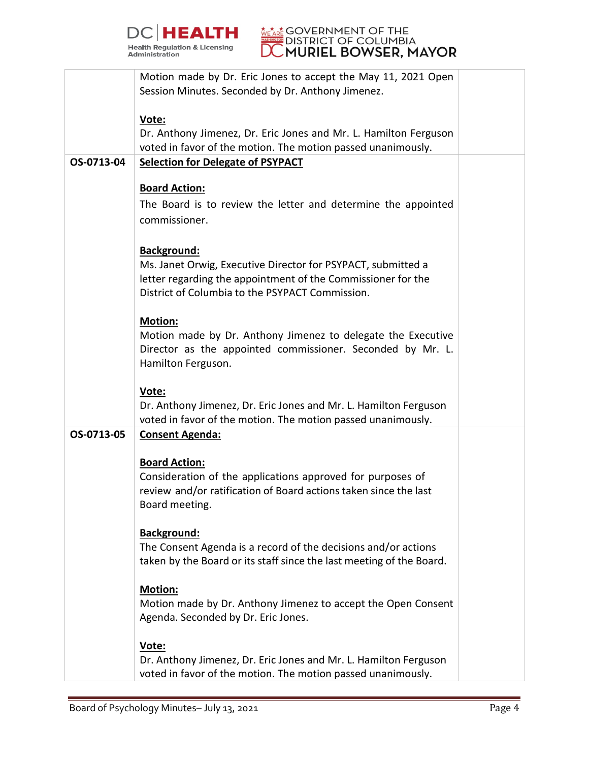



|            | Motion made by Dr. Eric Jones to accept the May 11, 2021 Open        |  |
|------------|----------------------------------------------------------------------|--|
|            | Session Minutes. Seconded by Dr. Anthony Jimenez.                    |  |
|            |                                                                      |  |
|            |                                                                      |  |
|            | Vote:                                                                |  |
|            | Dr. Anthony Jimenez, Dr. Eric Jones and Mr. L. Hamilton Ferguson     |  |
|            | voted in favor of the motion. The motion passed unanimously.         |  |
| OS-0713-04 | <b>Selection for Delegate of PSYPACT</b>                             |  |
|            |                                                                      |  |
|            |                                                                      |  |
|            | <b>Board Action:</b>                                                 |  |
|            | The Board is to review the letter and determine the appointed        |  |
|            | commissioner.                                                        |  |
|            |                                                                      |  |
|            |                                                                      |  |
|            | Background:                                                          |  |
|            | Ms. Janet Orwig, Executive Director for PSYPACT, submitted a         |  |
|            | letter regarding the appointment of the Commissioner for the         |  |
|            | District of Columbia to the PSYPACT Commission.                      |  |
|            |                                                                      |  |
|            |                                                                      |  |
|            | Motion:                                                              |  |
|            | Motion made by Dr. Anthony Jimenez to delegate the Executive         |  |
|            | Director as the appointed commissioner. Seconded by Mr. L.           |  |
|            |                                                                      |  |
|            | Hamilton Ferguson.                                                   |  |
|            |                                                                      |  |
|            | Vote:                                                                |  |
|            | Dr. Anthony Jimenez, Dr. Eric Jones and Mr. L. Hamilton Ferguson     |  |
|            | voted in favor of the motion. The motion passed unanimously.         |  |
| OS-0713-05 |                                                                      |  |
|            | <b>Consent Agenda:</b>                                               |  |
|            |                                                                      |  |
|            | <b>Board Action:</b>                                                 |  |
|            | Consideration of the applications approved for purposes of           |  |
|            | review and/or ratification of Board actions taken since the last     |  |
|            | Board meeting.                                                       |  |
|            |                                                                      |  |
|            |                                                                      |  |
|            | Background:                                                          |  |
|            | The Consent Agenda is a record of the decisions and/or actions       |  |
|            | taken by the Board or its staff since the last meeting of the Board. |  |
|            |                                                                      |  |
|            |                                                                      |  |
|            | <b>Motion:</b>                                                       |  |
|            | Motion made by Dr. Anthony Jimenez to accept the Open Consent        |  |
|            | Agenda. Seconded by Dr. Eric Jones.                                  |  |
|            |                                                                      |  |
|            | Vote:                                                                |  |
|            |                                                                      |  |
|            | Dr. Anthony Jimenez, Dr. Eric Jones and Mr. L. Hamilton Ferguson     |  |
|            | voted in favor of the motion. The motion passed unanimously.         |  |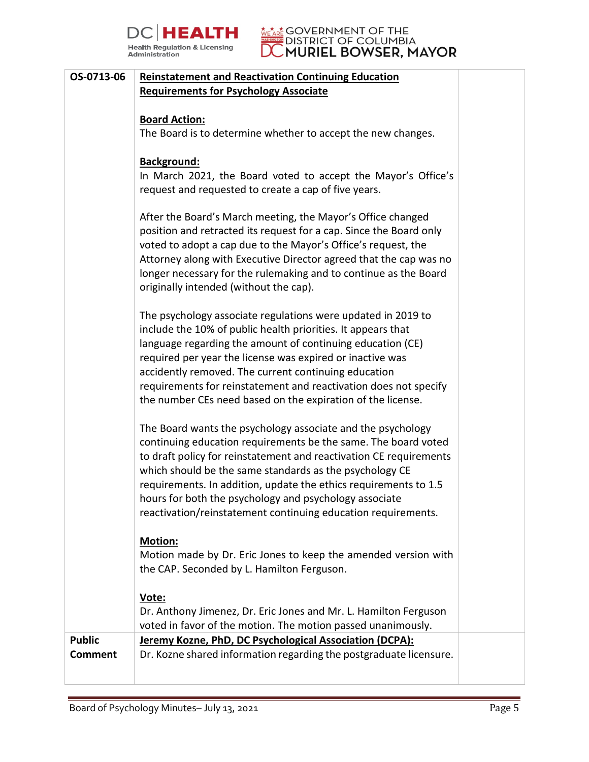



## **OS-0713-06 Reinstatement and Reactivation Continuing Education Requirements for Psychology Associate**

#### **Board Action:**

The Board is to determine whether to accept the new changes.

### **Background:**

In March 2021, the Board voted to accept the Mayor's Office's request and requested to create a cap of five years.

After the Board's March meeting, the Mayor's Office changed position and retracted its request for a cap. Since the Board only voted to adopt a cap due to the Mayor's Office's request, the Attorney along with Executive Director agreed that the cap was no longer necessary for the rulemaking and to continue as the Board originally intended (without the cap).

The psychology associate regulations were updated in 2019 to include the 10% of public health priorities. It appears that language regarding the amount of continuing education (CE) required per year the license was expired or inactive was accidently removed. The current continuing education requirements for reinstatement and reactivation does not specify the number CEs need based on the expiration of the license.

The Board wants the psychology associate and the psychology continuing education requirements be the same. The board voted to draft policy for reinstatement and reactivation CE requirements which should be the same standards as the psychology CE requirements. In addition, update the ethics requirements to 1.5 hours for both the psychology and psychology associate reactivation/reinstatement continuing education requirements.

# **Motion:**

Motion made by Dr. Eric Jones to keep the amended version with the CAP. Seconded by L. Hamilton Ferguson.

# **Vote:**

Dr. Anthony Jimenez, Dr. Eric Jones and Mr. L. Hamilton Ferguson voted in favor of the motion. The motion passed unanimously. **Public Comment Jeremy Kozne, PhD, DC Psychological Association (DCPA):**  Dr. Kozne shared information regarding the postgraduate licensure.